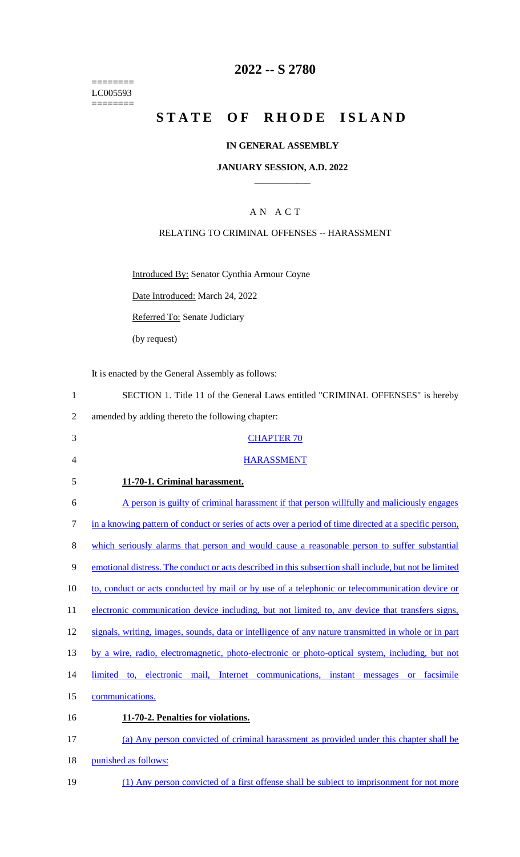======== LC005593  $=$ 

## **2022 -- S 2780**

# **STATE OF RHODE ISLAND**

## **IN GENERAL ASSEMBLY**

## **JANUARY SESSION, A.D. 2022 \_\_\_\_\_\_\_\_\_\_\_\_**

## A N A C T

## RELATING TO CRIMINAL OFFENSES -- HARASSMENT

Introduced By: Senator Cynthia Armour Coyne

Date Introduced: March 24, 2022

Referred To: Senate Judiciary

(by request)

It is enacted by the General Assembly as follows:

| $\mathbf{1}$   | SECTION 1. Title 11 of the General Laws entitled "CRIMINAL OFFENSES" is hereby                         |
|----------------|--------------------------------------------------------------------------------------------------------|
| $\overline{2}$ | amended by adding thereto the following chapter:                                                       |
| 3              | <b>CHAPTER 70</b>                                                                                      |
| 4              | <b>HARASSMENT</b>                                                                                      |
| 5              | 11-70-1. Criminal harassment.                                                                          |
| 6              | A person is guilty of criminal harassment if that person willfully and maliciously engages             |
| 7              | in a knowing pattern of conduct or series of acts over a period of time directed at a specific person, |
| 8              | which seriously alarms that person and would cause a reasonable person to suffer substantial           |
| 9              | emotional distress. The conduct or acts described in this subsection shall include, but not be limited |
| 10             | to, conduct or acts conducted by mail or by use of a telephonic or telecommunication device or         |
| 11             | electronic communication device including, but not limited to, any device that transfers signs,        |
| 12             | signals, writing, images, sounds, data or intelligence of any nature transmitted in whole or in part   |
| 13             | by a wire, radio, electromagnetic, photo-electronic or photo-optical system, including, but not        |
| 14             | limited to, electronic mail, Internet communications, instant messages or facsimile                    |
| 15             | communications.                                                                                        |
| 16             | 11-70-2. Penalties for violations.                                                                     |
| 17             | (a) Any person convicted of criminal harassment as provided under this chapter shall be                |
| 18             | punished as follows:                                                                                   |
|                |                                                                                                        |

19 (1) Any person convicted of a first offense shall be subject to imprisonment for not more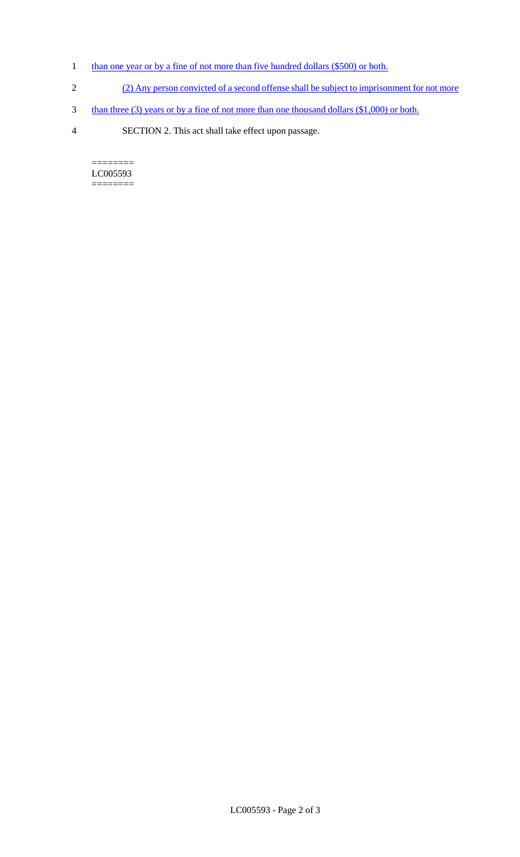- 1 than one year or by a fine of not more than five hundred dollars (\$500) or both.
- 2 (2) Any person convicted of a second offense shall be subject to imprisonment for not more
- 3 than three (3) years or by a fine of not more than one thousand dollars (\$1,000) or both.
- 4 SECTION 2. This act shall take effect upon passage.

======== LC005593  $=$